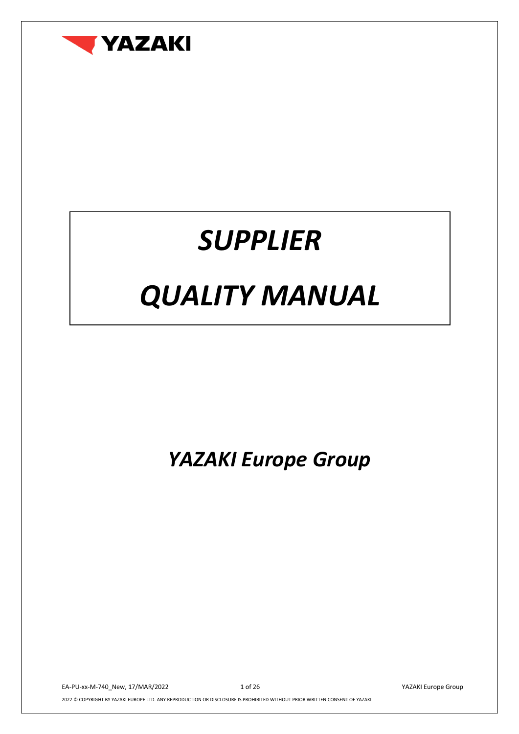

## *SUPPLIER*

# *QUALITY MANUAL*

*YAZAKI Europe Group*

EA-PU-xx-M-740\_New, 17/MAR/2022 1 of 26 YAZAKI Europe Group 2022 © COPYRIGHT BY YAZAKI EUROPE LTD. ANY REPRODUCTION OR DISCLOSURE IS PROHIBITED WITHOUT PRIOR WRITTEN CONSENT OF YAZAKI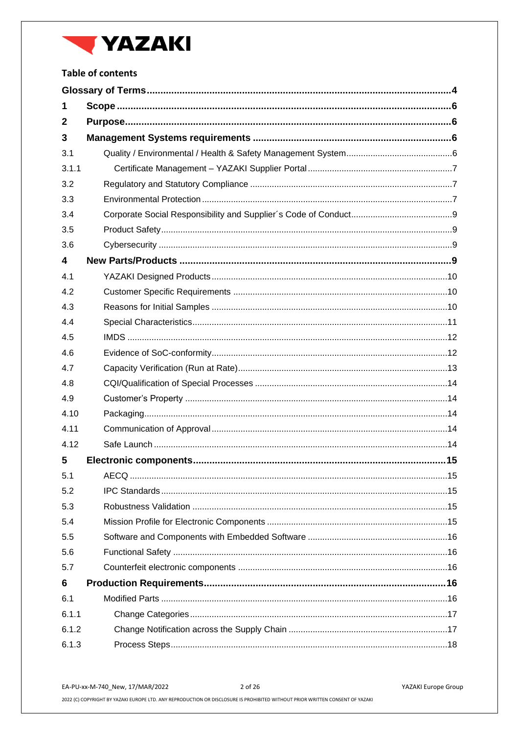

## **Table of contents**

| 1     |  |  |  |  |
|-------|--|--|--|--|
| 2     |  |  |  |  |
| 3     |  |  |  |  |
| 3.1   |  |  |  |  |
| 3.1.1 |  |  |  |  |
| 3.2   |  |  |  |  |
| 3.3   |  |  |  |  |
| 3.4   |  |  |  |  |
| 3.5   |  |  |  |  |
| 3.6   |  |  |  |  |
| 4     |  |  |  |  |
| 4.1   |  |  |  |  |
| 4.2   |  |  |  |  |
| 4.3   |  |  |  |  |
| 4.4   |  |  |  |  |
| 4.5   |  |  |  |  |
| 4.6   |  |  |  |  |
| 4.7   |  |  |  |  |
| 4.8   |  |  |  |  |
| 4.9   |  |  |  |  |
| 4.10  |  |  |  |  |
| 4.11  |  |  |  |  |
| 4.12  |  |  |  |  |
| 5     |  |  |  |  |
| 5.1   |  |  |  |  |
| 5.2   |  |  |  |  |
| 5.3   |  |  |  |  |
| 5.4   |  |  |  |  |
| 5.5   |  |  |  |  |
| 5.6   |  |  |  |  |
| 5.7   |  |  |  |  |
| 6     |  |  |  |  |
| 6.1   |  |  |  |  |
| 6.1.1 |  |  |  |  |
| 6.1.2 |  |  |  |  |
| 6.1.3 |  |  |  |  |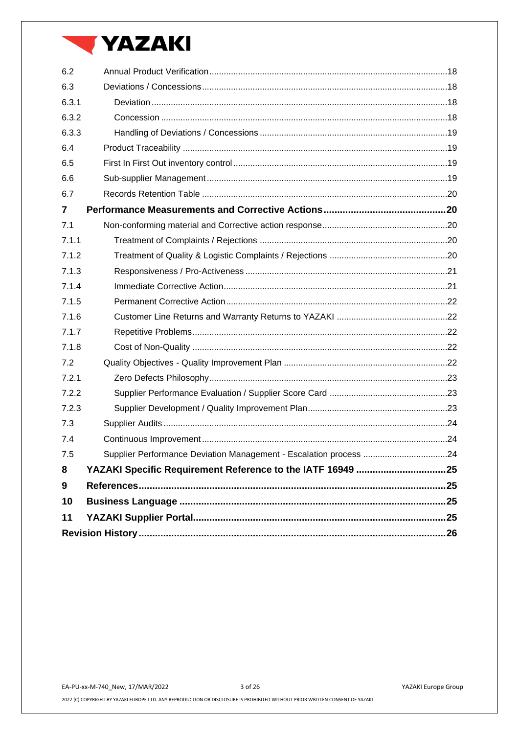## **VAZAKI**

| 6.2            |                                                                   |  |
|----------------|-------------------------------------------------------------------|--|
| 6.3            |                                                                   |  |
| 6.3.1          |                                                                   |  |
| 6.3.2          |                                                                   |  |
| 6.3.3          |                                                                   |  |
| 6.4            |                                                                   |  |
| 6.5            |                                                                   |  |
| 6.6            |                                                                   |  |
| 6.7            |                                                                   |  |
| $\overline{7}$ |                                                                   |  |
| 7.1            |                                                                   |  |
| 7.1.1          |                                                                   |  |
| 7.1.2          |                                                                   |  |
| 7.1.3          |                                                                   |  |
| 7.1.4          |                                                                   |  |
| 7.1.5          |                                                                   |  |
| 7.1.6          |                                                                   |  |
| 7.1.7          |                                                                   |  |
| 7.1.8          |                                                                   |  |
| 7.2            |                                                                   |  |
| 7.2.1          |                                                                   |  |
| 7.2.2          |                                                                   |  |
| 7.2.3          |                                                                   |  |
| 7.3            |                                                                   |  |
| 7.4            |                                                                   |  |
| 7.5            | Supplier Performance Deviation Management - Escalation process 24 |  |
| 8              |                                                                   |  |
| 9              |                                                                   |  |
| 10             |                                                                   |  |
| 11             |                                                                   |  |
|                |                                                                   |  |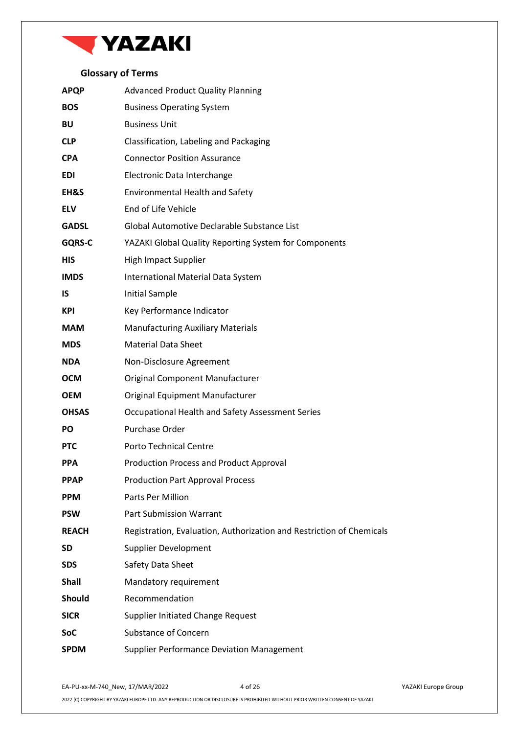

## **Glossary of Terms**

<span id="page-3-0"></span>

| <b>APQP</b>   | <b>Advanced Product Quality Planning</b>                             |
|---------------|----------------------------------------------------------------------|
| <b>BOS</b>    | <b>Business Operating System</b>                                     |
| <b>BU</b>     | <b>Business Unit</b>                                                 |
| <b>CLP</b>    | Classification, Labeling and Packaging                               |
| <b>CPA</b>    | <b>Connector Position Assurance</b>                                  |
| <b>EDI</b>    | Electronic Data Interchange                                          |
| EH&S          | <b>Environmental Health and Safety</b>                               |
| <b>ELV</b>    | End of Life Vehicle                                                  |
| <b>GADSL</b>  | Global Automotive Declarable Substance List                          |
| <b>GQRS-C</b> | YAZAKI Global Quality Reporting System for Components                |
| <b>HIS</b>    | High Impact Supplier                                                 |
| <b>IMDS</b>   | International Material Data System                                   |
| <b>IS</b>     | <b>Initial Sample</b>                                                |
| <b>KPI</b>    | Key Performance Indicator                                            |
| <b>MAM</b>    | <b>Manufacturing Auxiliary Materials</b>                             |
| <b>MDS</b>    | <b>Material Data Sheet</b>                                           |
| <b>NDA</b>    | Non-Disclosure Agreement                                             |
| <b>OCM</b>    | Original Component Manufacturer                                      |
| <b>OEM</b>    | Original Equipment Manufacturer                                      |
| <b>OHSAS</b>  | Occupational Health and Safety Assessment Series                     |
| <b>PO</b>     | Purchase Order                                                       |
| <b>PTC</b>    | <b>Porto Technical Centre</b>                                        |
| <b>PPA</b>    | <b>Production Process and Product Approval</b>                       |
| <b>PPAP</b>   | <b>Production Part Approval Process</b>                              |
| <b>PPM</b>    | Parts Per Million                                                    |
| <b>PSW</b>    | <b>Part Submission Warrant</b>                                       |
| <b>REACH</b>  | Registration, Evaluation, Authorization and Restriction of Chemicals |
| <b>SD</b>     | <b>Supplier Development</b>                                          |
| <b>SDS</b>    | Safety Data Sheet                                                    |
| <b>Shall</b>  | Mandatory requirement                                                |
| <b>Should</b> | Recommendation                                                       |
| <b>SICR</b>   | <b>Supplier Initiated Change Request</b>                             |
| SoC           | <b>Substance of Concern</b>                                          |
| <b>SPDM</b>   | <b>Supplier Performance Deviation Management</b>                     |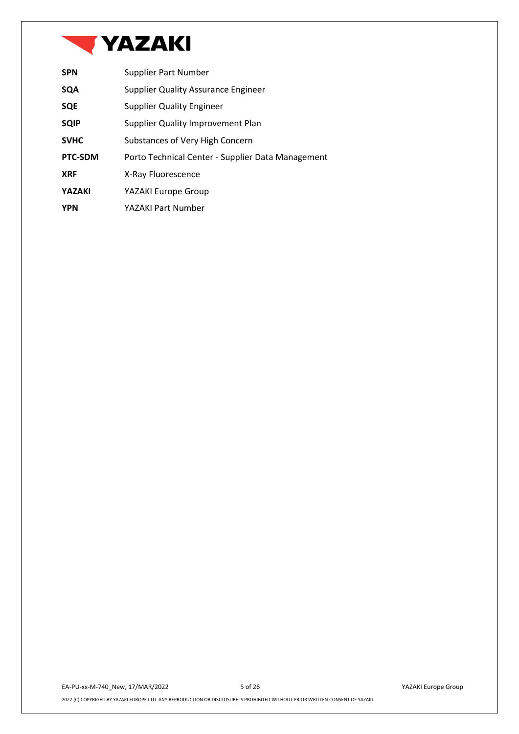

| <b>SPN</b>    | Supplier Part Number                              |
|---------------|---------------------------------------------------|
| <b>SQA</b>    | <b>Supplier Quality Assurance Engineer</b>        |
| <b>SQE</b>    | <b>Supplier Quality Engineer</b>                  |
| <b>SQIP</b>   | Supplier Quality Improvement Plan                 |
| <b>SVHC</b>   | Substances of Very High Concern                   |
| PTC-SDM       | Porto Technical Center - Supplier Data Management |
| <b>XRF</b>    | X-Ray Fluorescence                                |
| <b>YAZAKI</b> | YAZAKI Europe Group                               |
| <b>YPN</b>    | YAZAKI Part Number                                |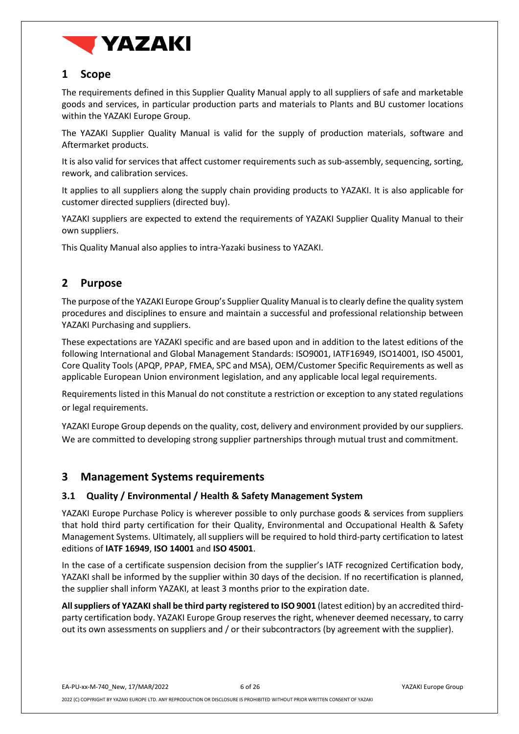

## <span id="page-5-0"></span>**1 Scope**

The requirements defined in this Supplier Quality Manual apply to all suppliers of safe and marketable goods and services, in particular production parts and materials to Plants and BU customer locations within the YAZAKI Europe Group.

The YAZAKI Supplier Quality Manual is valid for the supply of production materials, software and Aftermarket products.

It is also valid for services that affect customer requirements such as sub-assembly, sequencing, sorting, rework, and calibration services.

It applies to all suppliers along the supply chain providing products to YAZAKI. It is also applicable for customer directed suppliers (directed buy).

YAZAKI suppliers are expected to extend the requirements of YAZAKI Supplier Quality Manual to their own suppliers.

This Quality Manual also applies to intra-Yazaki business to YAZAKI.

## <span id="page-5-1"></span>**2 Purpose**

The purpose of the YAZAKI Europe Group's Supplier Quality Manual is to clearly define the quality system procedures and disciplines to ensure and maintain a successful and professional relationship between YAZAKI Purchasing and suppliers.

These expectations are YAZAKI specific and are based upon and in addition to the latest editions of the following International and Global Management Standards: ISO9001, IATF16949, ISO14001, ISO 45001, Core Quality Tools (APQP, PPAP, FMEA, SPC and MSA), OEM/Customer Specific Requirements as well as applicable European Union environment legislation, and any applicable local legal requirements.

Requirements listed in this Manual do not constitute a restriction or exception to any stated regulations or legal requirements.

YAZAKI Europe Group depends on the quality, cost, delivery and environment provided by our suppliers. We are committed to developing strong supplier partnerships through mutual trust and commitment.

## <span id="page-5-2"></span>**3 Management Systems requirements**

#### <span id="page-5-3"></span>**3.1 Quality / Environmental / Health & Safety Management System**

YAZAKI Europe Purchase Policy is wherever possible to only purchase goods & services from suppliers that hold third party certification for their Quality, Environmental and Occupational Health & Safety Management Systems. Ultimately, all suppliers will be required to hold third-party certification to latest editions of **IATF 16949**, **ISO 14001** and **ISO 45001**.

In the case of a certificate suspension decision from the supplier's IATF recognized Certification body, YAZAKI shall be informed by the supplier within 30 days of the decision. If no recertification is planned, the supplier shall inform YAZAKI, at least 3 months prior to the expiration date.

**All suppliers of YAZAKIshall be third party registered to ISO 9001** (latest edition) by an accredited thirdparty certification body. YAZAKI Europe Group reserves the right, whenever deemed necessary, to carry out its own assessments on suppliers and / or their subcontractors (by agreement with the supplier).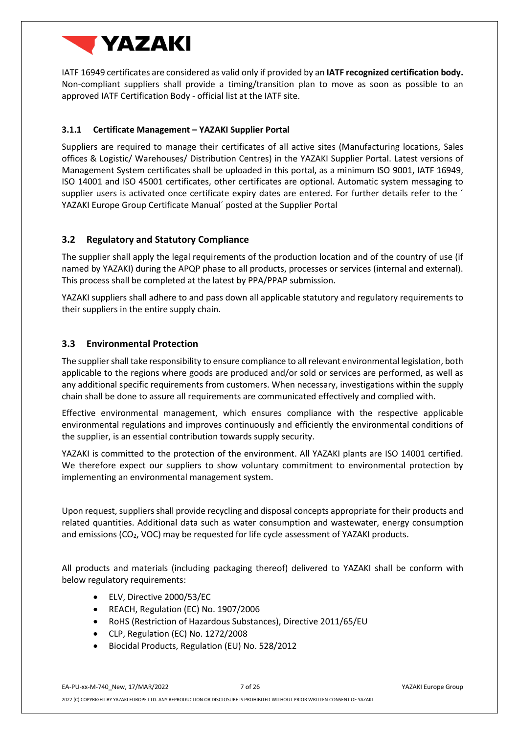

IATF 16949 certificates are considered as valid only if provided by an **IATF recognized certification body.** Non-compliant suppliers shall provide a timing/transition plan to move as soon as possible to an approved IATF Certification Body - official list at the IATF site.

#### <span id="page-6-0"></span>**3.1.1 Certificate Management – YAZAKI Supplier Portal**

Suppliers are required to manage their certificates of all active sites (Manufacturing locations, Sales offices & Logistic/ Warehouses/ Distribution Centres) in the YAZAKI Supplier Portal. Latest versions of Management System certificates shall be uploaded in this portal, as a minimum ISO 9001, IATF 16949, ISO 14001 and ISO 45001 certificates, other certificates are optional. Automatic system messaging to supplier users is activated once certificate expiry dates are entered. For further details refer to the <sup>2</sup> YAZAKI Europe Group Certificate Manual´ posted at the Supplier Portal

#### <span id="page-6-1"></span>**3.2 Regulatory and Statutory Compliance**

The supplier shall apply the legal requirements of the production location and of the country of use (if named by YAZAKI) during the APQP phase to all products, processes or services (internal and external). This process shall be completed at the latest by PPA/PPAP submission.

YAZAKI suppliers shall adhere to and pass down all applicable statutory and regulatory requirements to their suppliers in the entire supply chain.

#### <span id="page-6-2"></span>**3.3 Environmental Protection**

The supplier shall take responsibility to ensure compliance to all relevant environmental legislation, both applicable to the regions where goods are produced and/or sold or services are performed, as well as any additional specific requirements from customers. When necessary, investigations within the supply chain shall be done to assure all requirements are communicated effectively and complied with.

Effective environmental management, which ensures compliance with the respective applicable environmental regulations and improves continuously and efficiently the environmental conditions of the supplier, is an essential contribution towards supply security.

YAZAKI is committed to the protection of the environment. All YAZAKI plants are ISO 14001 certified. We therefore expect our suppliers to show voluntary commitment to environmental protection by implementing an environmental management system.

Upon request, suppliers shall provide recycling and disposal concepts appropriate for their products and related quantities. Additional data such as water consumption and wastewater, energy consumption and emissions ( $CO<sub>2</sub>$ , VOC) may be requested for life cycle assessment of YAZAKI products.

All products and materials (including packaging thereof) delivered to YAZAKI shall be conform with below regulatory requirements:

- ELV, Directive 2000/53/EC
- REACH, Regulation (EC) No. 1907/2006
- RoHS (Restriction of Hazardous Substances), Directive 2011/65/EU
- CLP, Regulation (EC) No. 1272/2008
- Biocidal Products, Regulation (EU) No. 528/2012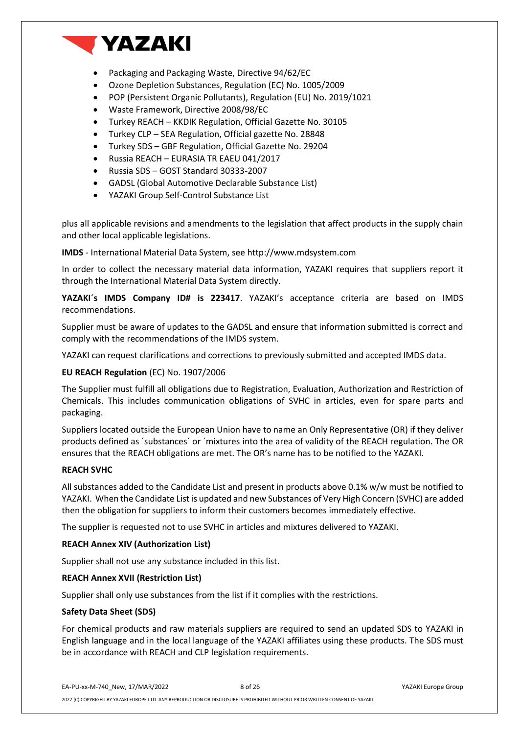

- Packaging and Packaging Waste, Directive 94/62/EC
- Ozone Depletion Substances, Regulation (EC) No. 1005/2009
- POP (Persistent Organic Pollutants), Regulation (EU) No. 2019/1021
- Waste Framework, Directive 2008/98/EC
- Turkey REACH KKDIK Regulation, Official Gazette No. 30105
- Turkey CLP SEA Regulation, Official gazette No. 28848
- Turkey SDS GBF Regulation, Official Gazette No. 29204
- Russia REACH EURASIA TR EAEU 041/2017
- Russia SDS GOST Standard 30333-2007
- GADSL (Global Automotive Declarable Substance List)
- YAZAKI Group Self-Control Substance List

plus all applicable revisions and amendments to the legislation that affect products in the supply chain and other local applicable legislations.

**IMDS** - International Material Data System, see http://www.mdsystem.com

In order to collect the necessary material data information, YAZAKI requires that suppliers report it through the International Material Data System directly.

**YAZAKI´s IMDS Company ID# is 223417**. YAZAKI's acceptance criteria are based on IMDS recommendations.

Supplier must be aware of updates to the GADSL and ensure that information submitted is correct and comply with the recommendations of the IMDS system.

YAZAKI can request clarifications and corrections to previously submitted and accepted IMDS data.

#### **EU REACH Regulation** (EC) No. 1907/2006

The Supplier must fulfill all obligations due to Registration, Evaluation, Authorization and Restriction of Chemicals. This includes communication obligations of SVHC in articles, even for spare parts and packaging.

Suppliers located outside the European Union have to name an Only Representative (OR) if they deliver products defined as ´substances´ or ´mixtures into the area of validity of the REACH regulation. The OR ensures that the REACH obligations are met. The OR's name has to be notified to the YAZAKI.

#### **REACH SVHC**

All substances added to the Candidate List and present in products above 0.1% w/w must be notified to YAZAKI. When the Candidate List is updated and new Substances of Very High Concern (SVHC) are added then the obligation for suppliers to inform their customers becomes immediately effective.

The supplier is requested not to use SVHC in articles and mixtures delivered to YAZAKI.

#### **REACH Annex XIV (Authorization List)**

Supplier shall not use any substance included in this list.

#### **REACH Annex XVII (Restriction List)**

Supplier shall only use substances from the list if it complies with the restrictions.

#### **Safety Data Sheet (SDS)**

For chemical products and raw materials suppliers are required to send an updated SDS to YAZAKI in English language and in the local language of the YAZAKI affiliates using these products. The SDS must be in accordance with REACH and CLP legislation requirements.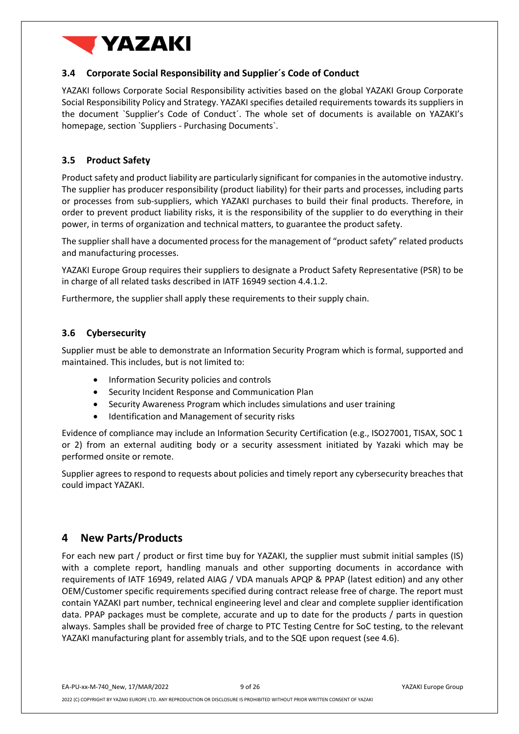

#### <span id="page-8-0"></span>**3.4 Corporate Social Responsibility and Supplier´s Code of Conduct**

YAZAKI follows Corporate Social Responsibility activities based on the global YAZAKI Group Corporate Social Responsibility Policy and Strategy. YAZAKI specifies detailed requirements towards its suppliers in the document `Supplier's Code of Conduct´. The whole set of documents is available on YAZAKI's homepage, section `Suppliers - Purchasing Documents`.

### <span id="page-8-1"></span>**3.5 Product Safety**

Product safety and product liability are particularly significant for companies in the automotive industry. The supplier has producer responsibility (product liability) for their parts and processes, including parts or processes from sub-suppliers, which YAZAKI purchases to build their final products. Therefore, in order to prevent product liability risks, it is the responsibility of the supplier to do everything in their power, in terms of organization and technical matters, to guarantee the product safety.

The supplier shall have a documented process for the management of "product safety" related products and manufacturing processes.

YAZAKI Europe Group requires their suppliers to designate a Product Safety Representative (PSR) to be in charge of all related tasks described in IATF 16949 section 4.4.1.2.

Furthermore, the supplier shall apply these requirements to their supply chain.

#### <span id="page-8-2"></span>**3.6 Cybersecurity**

Supplier must be able to demonstrate an Information Security Program which is formal, supported and maintained. This includes, but is not limited to:

- Information Security policies and controls
- Security Incident Response and Communication Plan
- Security Awareness Program which includes simulations and user training
- Identification and Management of security risks

Evidence of compliance may include an Information Security Certification (e.g., ISO27001, TISAX, SOC 1 or 2) from an external auditing body or a security assessment initiated by Yazaki which may be performed onsite or remote.

Supplier agrees to respond to requests about policies and timely report any cybersecurity breaches that could impact YAZAKI.

## <span id="page-8-3"></span>**4 New Parts/Products**

For each new part / product or first time buy for YAZAKI, the supplier must submit initial samples (IS) with a complete report, handling manuals and other supporting documents in accordance with requirements of IATF 16949, related AIAG / VDA manuals APQP & PPAP (latest edition) and any other OEM/Customer specific requirements specified during contract release free of charge. The report must contain YAZAKI part number, technical engineering level and clear and complete supplier identification data. PPAP packages must be complete, accurate and up to date for the products / parts in question always. Samples shall be provided free of charge to PTC Testing Centre for SoC testing, to the relevant YAZAKI manufacturing plant for assembly trials, and to the SQE upon request (see [4.6\)](#page-11-1).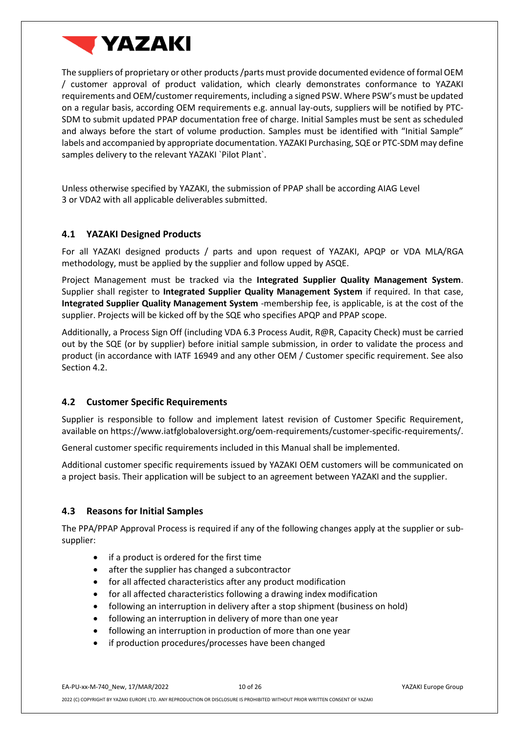

The suppliers of proprietary or other products /parts must provide documented evidence of formal OEM / customer approval of product validation, which clearly demonstrates conformance to YAZAKI requirements and OEM/customer requirements, including a signed PSW. Where PSW's must be updated on a regular basis, according OEM requirements e.g. annual lay-outs, suppliers will be notified by PTC-SDM to submit updated PPAP documentation free of charge. Initial Samples must be sent as scheduled and always before the start of volume production. Samples must be identified with "Initial Sample" labels and accompanied by appropriate documentation. YAZAKI Purchasing, SQE or PTC-SDM may define samples delivery to the relevant YAZAKI `Pilot Plant`.

Unless otherwise specified by YAZAKI, the submission of PPAP shall be according AIAG Level 3 or VDA2 with all applicable deliverables submitted.

#### <span id="page-9-0"></span>**4.1 YAZAKI Designed Products**

For all YAZAKI designed products / parts and upon request of YAZAKI, APQP or VDA MLA/RGA methodology, must be applied by the supplier and follow upped by ASQE.

Project Management must be tracked via the **Integrated Supplier Quality Management System**. Supplier shall register to **Integrated Supplier Quality Management System** if required. In that case, **Integrated Supplier Quality Management System** -membership fee, is applicable, is at the cost of the supplier. Projects will be kicked off by the SQE who specifies APQP and PPAP scope.

Additionally, a Process Sign Off (including VDA 6.3 Process Audit, R@R, Capacity Check) must be carried out by the SQE (or by supplier) before initial sample submission, in order to validate the process and product (in accordance with IATF 16949 and any other OEM / Customer specific requirement. See also Section 4.2.

#### <span id="page-9-1"></span>**4.2 Customer Specific Requirements**

Supplier is responsible to follow and implement latest revision of Customer Specific Requirement, available on https://www.iatfglobaloversight.org/oem-requirements/customer-specific-requirements/.

General customer specific requirements included in this Manual shall be implemented.

Additional customer specific requirements issued by YAZAKI OEM customers will be communicated on a project basis. Their application will be subject to an agreement between YAZAKI and the supplier.

#### <span id="page-9-2"></span>**4.3 Reasons for Initial Samples**

The PPA/PPAP Approval Process is required if any of the following changes apply at the supplier or subsupplier:

- if a product is ordered for the first time
- after the supplier has changed a subcontractor
- for all affected characteristics after any product modification
- for all affected characteristics following a drawing index modification
- following an interruption in delivery after a stop shipment (business on hold)
- following an interruption in delivery of more than one year
- following an interruption in production of more than one year
- if production procedures/processes have been changed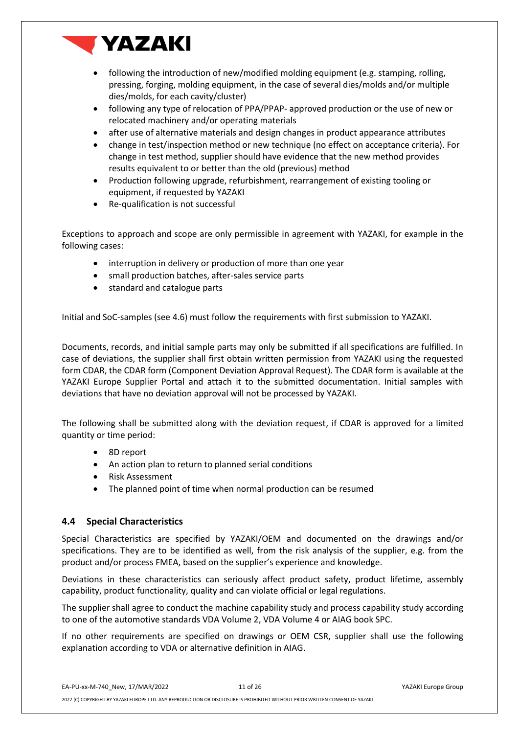

- following the introduction of new/modified molding equipment (e.g. stamping, rolling, pressing, forging, molding equipment, in the case of several dies/molds and/or multiple dies/molds, for each cavity/cluster)
- following any type of relocation of PPA/PPAP- approved production or the use of new or relocated machinery and/or operating materials
- after use of alternative materials and design changes in product appearance attributes
- change in test/inspection method or new technique (no effect on acceptance criteria). For change in test method, supplier should have evidence that the new method provides results equivalent to or better than the old (previous) method
- Production following upgrade, refurbishment, rearrangement of existing tooling or equipment, if requested by YAZAKI
- Re-qualification is not successful

Exceptions to approach and scope are only permissible in agreement with YAZAKI, for example in the following cases:

- interruption in delivery or production of more than one year
- small production batches, after-sales service parts
- standard and catalogue parts

Initial and SoC-samples (see 4.6) must follow the requirements with first submission to YAZAKI.

Documents, records, and initial sample parts may only be submitted if all specifications are fulfilled. In case of deviations, the supplier shall first obtain written permission from YAZAKI using the requested form [CDAR,](https://www.zf.com/corporate/media/zf_media_import/document/corporate_2/company_4/purchasing_and_logistics/purchasing_strategy/quality_guidelines/2018_04_06_qd83/F4.5A_Deviation_Request.xlsx) the CDAR form (Component Deviation Approval Request). The CDAR form is available at the YAZAKI Europe Supplier Portal and attach it to the submitted documentation. Initial samples with deviations that have no deviation approval will not be processed by YAZAKI.

The following shall be submitted along with the deviation request, if CDAR is approved for a limited quantity or time period:

- 8D report
- An action plan to return to planned serial conditions
- Risk Assessment
- The planned point of time when normal production can be resumed

#### <span id="page-10-0"></span>**4.4 Special Characteristics**

Special Characteristics are specified by YAZAKI/OEM and documented on the drawings and/or specifications. They are to be identified as well, from the risk analysis of the supplier, e.g. from the product and/or process FMEA, based on the supplier's experience and knowledge.

Deviations in these characteristics can seriously affect product safety, product lifetime, assembly capability, product functionality, quality and can violate official or legal regulations.

The supplier shall agree to conduct the machine capability study and process capability study according to one of the automotive standards VDA Volume 2, VDA Volume 4 or AIAG book SPC.

If no other requirements are specified on drawings or OEM CSR, supplier shall use the following explanation according to VDA or alternative definition in AIAG.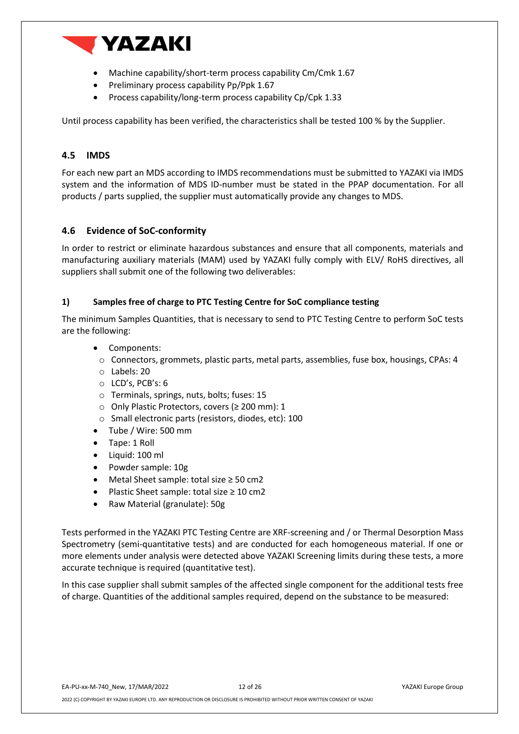

- Machine capability/short-term process capability Cm/Cmk 1.67
- Preliminary process capability Pp/Ppk 1.67
- Process capability/long-term process capability Cp/Cpk 1.33

Until process capability has been verified, the characteristics shall be tested 100 % by the Supplier.

#### <span id="page-11-0"></span>**4.5 IMDS**

For each new part an MDS according to IMDS recommendations must be submitted to YAZAKI via IMDS system and the information of MDS ID-number must be stated in the PPAP documentation. For all products / parts supplied, the supplier must automatically provide any changes to MDS.

#### <span id="page-11-1"></span>**4.6 Evidence of SoC-conformity**

In order to restrict or eliminate hazardous substances and ensure that all components, materials and manufacturing auxiliary materials (MAM) used by YAZAKI fully comply with ELV/ RoHS directives, all suppliers shall submit one of the following two deliverables:

#### **1) Samples free of charge to PTC Testing Centre for SoC compliance testing**

The minimum Samples Quantities, that is necessary to send to PTC Testing Centre to perform SoC tests are the following:

- Components:
- o Connectors, grommets, plastic parts, metal parts, assemblies, fuse box, housings, CPAs: 4 o Labels: 20
- o LCD's, PCB's: 6
- o Terminals, springs, nuts, bolts; fuses: 15
- o Only Plastic Protectors, covers (≥ 200 mm): 1
- o Small electronic parts (resistors, diodes, etc): 100
- Tube / Wire: 500 mm
- Tape: 1 Roll
- Liquid: 100 ml
- Powder sample: 10g
- Metal Sheet sample: total size  $\geq$  50 cm2
- Plastic Sheet sample: total size ≥ 10 cm2
- Raw Material (granulate): 50g

Tests performed in the YAZAKI PTC Testing Centre are XRF-screening and / or Thermal Desorption Mass Spectrometry (semi-quantitative tests) and are conducted for each homogeneous material. If one or more elements under analysis were detected above YAZAKI Screening limits during these tests, a more accurate technique is required (quantitative test).

In this case supplier shall submit samples of the affected single component for the additional tests free of charge. Quantities of the additional samples required, depend on the substance to be measured: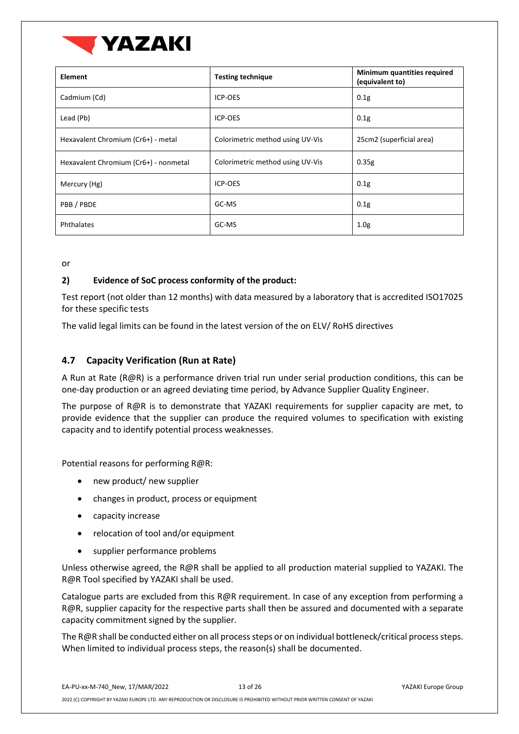

| <b>Element</b>                        | <b>Testing technique</b>         | <b>Minimum quantities required</b><br>(equivalent to) |
|---------------------------------------|----------------------------------|-------------------------------------------------------|
| Cadmium (Cd)                          | ICP-OES                          | 0.1 <sub>g</sub>                                      |
| Lead (Pb)                             | <b>ICP-OES</b>                   | 0.1 <sub>g</sub>                                      |
| Hexavalent Chromium (Cr6+) - metal    | Colorimetric method using UV-Vis | 25cm2 (superficial area)                              |
| Hexavalent Chromium (Cr6+) - nonmetal | Colorimetric method using UV-Vis | 0.35g                                                 |
| Mercury (Hg)                          | ICP-OES                          | 0.1 <sub>g</sub>                                      |
| PBB/PBDE                              | GC-MS                            | 0.1 <sub>g</sub>                                      |
| Phthalates                            | GC-MS                            | 1.0 <sub>g</sub>                                      |

or

#### **2) Evidence of SoC process conformity of the product:**

Test report (not older than 12 months) with data measured by a laboratory that is accredited ISO17025 for these specific tests

The valid legal limits can be found in the latest version of the on ELV/ RoHS directives

## <span id="page-12-0"></span>**4.7 Capacity Verification (Run at Rate)**

A Run at Rate (R@R) is a performance driven trial run under serial production conditions, this can be one-day production or an agreed deviating time period, by Advance Supplier Quality Engineer.

The purpose of R@R is to demonstrate that YAZAKI requirements for supplier capacity are met, to provide evidence that the supplier can produce the required volumes to specification with existing capacity and to identify potential process weaknesses.

Potential reasons for performing R@R:

- new product/ new supplier
- changes in product, process or equipment
- capacity increase
- relocation of tool and/or equipment
- supplier performance problems

Unless otherwise agreed, the R@R shall be applied to all production material supplied to YAZAKI. The R@R Tool specified by YAZAKI shall be used.

Catalogue parts are excluded from this R@R requirement. In case of any exception from performing a R@R, supplier capacity for the respective parts shall then be assured and documented with a separate capacity commitment signed by the supplier.

The R@R shall be conducted either on all process steps or on individual bottleneck/critical process steps. When limited to individual process steps, the reason(s) shall be documented.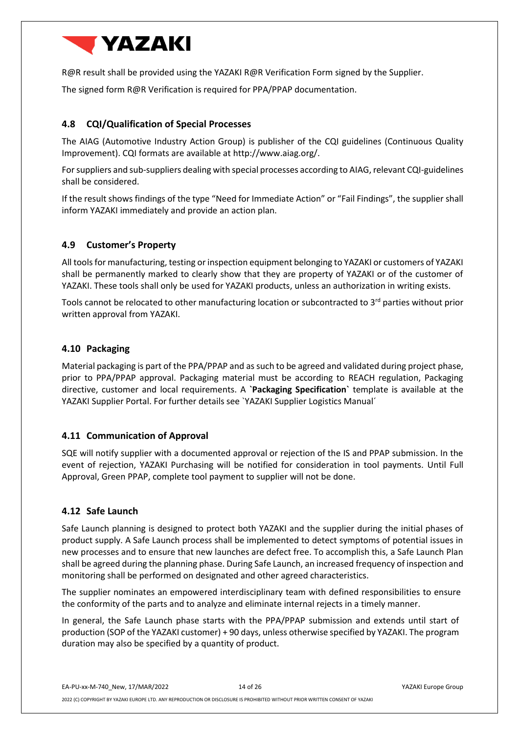

R@R result shall be provided using the YAZAKI R@R Verification Form signed by the Supplier.

The signed form R@R Verification is required for PPA/PPAP documentation.

## <span id="page-13-0"></span>**4.8 CQI/Qualification of Special Processes**

The AIAG (Automotive Industry Action Group) is publisher of the CQI guidelines (Continuous Quality Improvement). CQI formats are available at [http://www.aiag.org/.](http://www.aiag.org/)

For suppliers and sub-suppliers dealing with special processes according to AIAG, relevant CQI-guidelines shall be considered.

If the result shows findings of the type "Need for Immediate Action" or "Fail Findings", the supplier shall inform YAZAKI immediately and provide an action plan.

#### <span id="page-13-1"></span>**4.9 Customer's Property**

All tools for manufacturing, testing or inspection equipment belonging to YAZAKI or customers of YAZAKI shall be permanently marked to clearly show that they are property of YAZAKI or of the customer of YAZAKI. These tools shall only be used for YAZAKI products, unless an authorization in writing exists.

Tools cannot be relocated to other manufacturing location or subcontracted to 3<sup>rd</sup> parties without prior written approval from YAZAKI.

#### <span id="page-13-2"></span>**4.10 Packaging**

Material packaging is part of the PPA/PPAP and as such to be agreed and validated during project phase, prior to PPA/PPAP approval. Packaging material must be according to REACH regulation, Packaging directive, customer and local requirements. A **`Packaging Specification`** template is available at the YAZAKI Supplier Portal. For further details see `YAZAKI Supplier Logistics Manual´

#### <span id="page-13-3"></span>**4.11 Communication of Approval**

SQE will notify supplier with a documented approval or rejection of the IS and PPAP submission. In the event of rejection, YAZAKI Purchasing will be notified for consideration in tool payments. Until Full Approval, Green PPAP, complete tool payment to supplier will not be done.

#### <span id="page-13-4"></span>**4.12 Safe Launch**

Safe Launch planning is designed to protect both YAZAKI and the supplier during the initial phases of product supply. A Safe Launch process shall be implemented to detect symptoms of potential issues in new processes and to ensure that new launches are defect free. To accomplish this, a Safe Launch Plan shall be agreed during the planning phase. During Safe Launch, an increased frequency of inspection and monitoring shall be performed on designated and other agreed characteristics.

The supplier nominates an empowered interdisciplinary team with defined responsibilities to ensure the conformity of the parts and to analyze and eliminate internal rejects in a timely manner.

In general, the Safe Launch phase starts with the PPA/PPAP submission and extends until start of production (SOP of the YAZAKI customer) + 90 days, unless otherwise specified by YAZAKI. The program duration may also be specified by a quantity of product.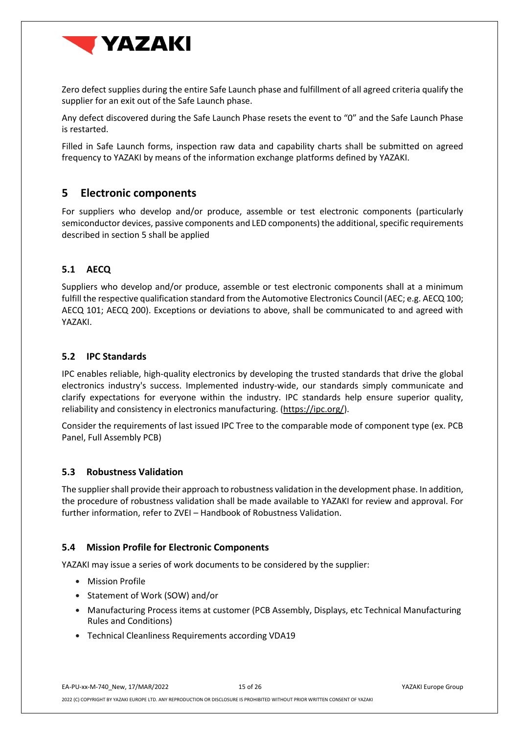

Zero defect supplies during the entire Safe Launch phase and fulfillment of all agreed criteria qualify the supplier for an exit out of the Safe Launch phase.

Any defect discovered during the Safe Launch Phase resets the event to "0" and the Safe Launch Phase is restarted.

Filled in Safe Launch forms, inspection raw data and capability charts shall be submitted on agreed frequency to YAZAKI by means of the information exchange platforms defined by YAZAKI.

## <span id="page-14-0"></span>**5 Electronic components**

For suppliers who develop and/or produce, assemble or test electronic components (particularly semiconductor devices, passive components and LED components) the additional, specific requirements described in section 5 shall be applied

## <span id="page-14-1"></span>**5.1 AECQ**

Suppliers who develop and/or produce, assemble or test electronic components shall at a minimum fulfill the respective qualification standard from the Automotive Electronics Council (AEC; e.g. AECQ 100; AECQ 101; AECQ 200). Exceptions or deviations to above, shall be communicated to and agreed with YAZAKI.

#### <span id="page-14-2"></span>**5.2 IPC Standards**

IPC enables reliable, high-quality electronics by developing the trusted standards that drive the global electronics industry's success. Implemented industry-wide, our standards simply communicate and clarify expectations for everyone within the industry. IPC standards help ensure superior quality, reliability and consistency in electronics manufacturing. [\(https://ipc.org/\)](https://ipc.org/).

Consider the requirements of last issued IPC Tree to the comparable mode of component type (ex. PCB Panel, Full Assembly PCB)

#### <span id="page-14-3"></span>**5.3 Robustness Validation**

The supplier shall provide their approach to robustness validation in the development phase. In addition, the procedure of robustness validation shall be made available to YAZAKI for review and approval. For further information, refer to ZVEI – Handbook of Robustness Validation.

#### <span id="page-14-4"></span>**5.4 Mission Profile for Electronic Components**

YAZAKI may issue a series of work documents to be considered by the supplier:

- Mission Profile
- Statement of Work (SOW) and/or
- Manufacturing Process items at customer (PCB Assembly, Displays, etc Technical Manufacturing Rules and Conditions)
- Technical Cleanliness Requirements according VDA19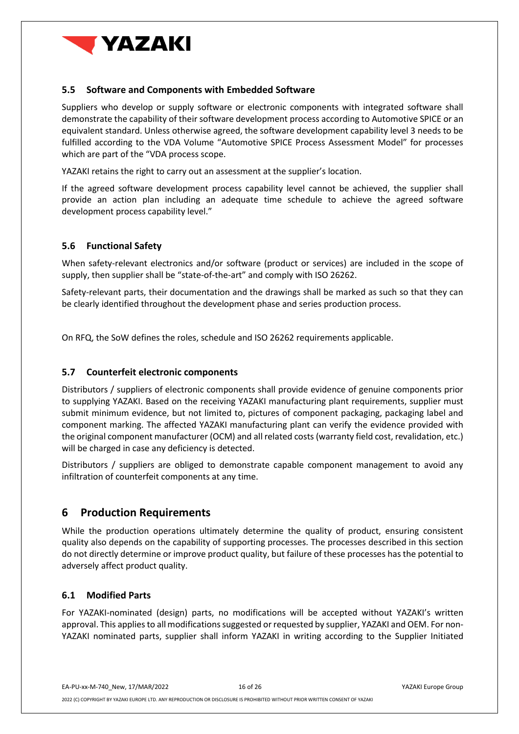

#### <span id="page-15-0"></span>**5.5 Software and Components with Embedded Software**

Suppliers who develop or supply software or electronic components with integrated software shall demonstrate the capability of their software development process according to Automotive SPICE or an equivalent standard. Unless otherwise agreed, the software development capability level 3 needs to be fulfilled according to the VDA Volume "Automotive SPICE Process Assessment Model" for processes which are part of the "VDA process scope.

YAZAKI retains the right to carry out an assessment at the supplier's location.

If the agreed software development process capability level cannot be achieved, the supplier shall provide an action plan including an adequate time schedule to achieve the agreed software development process capability level."

#### <span id="page-15-1"></span>**5.6 Functional Safety**

When safety-relevant electronics and/or software (product or services) are included in the scope of supply, then supplier shall be "state-of-the-art" and comply with ISO 26262.

Safety-relevant parts, their documentation and the drawings shall be marked as such so that they can be clearly identified throughout the development phase and series production process.

On RFQ, the SoW defines the roles, schedule and ISO 26262 requirements applicable.

#### <span id="page-15-2"></span>**5.7 Counterfeit electronic components**

Distributors / suppliers of electronic components shall provide evidence of genuine components prior to supplying YAZAKI. Based on the receiving YAZAKI manufacturing plant requirements, supplier must submit minimum evidence, but not limited to, pictures of component packaging, packaging label and component marking. The affected YAZAKI manufacturing plant can verify the evidence provided with the original component manufacturer (OCM) and all related costs (warranty field cost, revalidation, etc.) will be charged in case any deficiency is detected.

Distributors / suppliers are obliged to demonstrate capable component management to avoid any infiltration of counterfeit components at any time.

## <span id="page-15-3"></span>**6 Production Requirements**

While the production operations ultimately determine the quality of product, ensuring consistent quality also depends on the capability of supporting processes. The processes described in this section do not directly determine or improve product quality, but failure of these processes has the potential to adversely affect product quality.

#### <span id="page-15-4"></span>**6.1 Modified Parts**

For YAZAKI-nominated (design) parts, no modifications will be accepted without YAZAKI's written approval. This applies to all modifications suggested or requested by supplier, YAZAKI and OEM. For non-YAZAKI nominated parts, supplier shall inform YAZAKI in writing according to the Supplier Initiated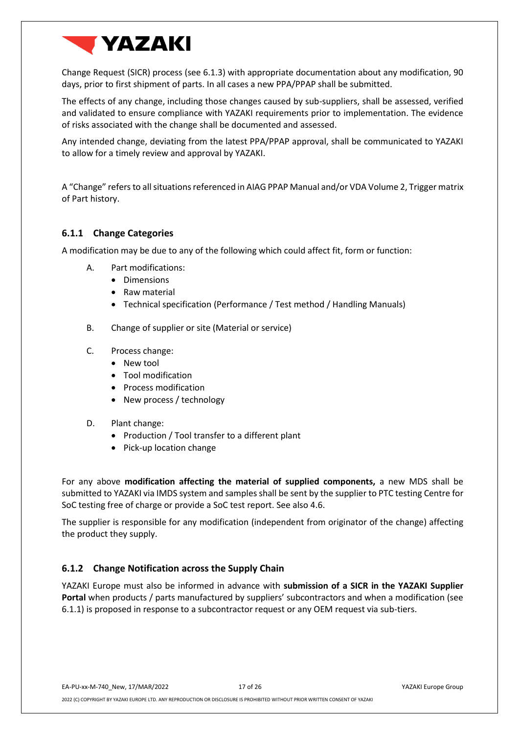

Change Request (SICR) process (see [6.1.3\)](#page-17-0) with appropriate documentation about any modification, 90 days, prior to first shipment of parts. In all cases a new PPA/PPAP shall be submitted.

The effects of any change, including those changes caused by sub-suppliers, shall be assessed, verified and validated to ensure compliance with YAZAKI requirements prior to implementation. The evidence of risks associated with the change shall be documented and assessed.

Any intended change, deviating from the latest PPA/PPAP approval, shall be communicated to YAZAKI to allow for a timely review and approval by YAZAKI.

A "Change" refers to all situations referenced in AIAG PPAP Manual and/or VDA Volume 2, Trigger matrix of Part history.

#### <span id="page-16-0"></span>**6.1.1 Change Categories**

A modification may be due to any of the following which could affect fit, form or function:

- A. Part modifications:
	- Dimensions
	- Raw material
	- Technical specification (Performance / Test method / Handling Manuals)
- B. Change of supplier or site (Material or service)
- C. Process change:
	- New tool
	- Tool modification
	- Process modification
	- New process / technology
- D. Plant change:
	- Production / Tool transfer to a different plant
	- Pick-up location change

For any above **modification affecting the material of supplied components,** a new MDS shall be submitted to YAZAKI via IMDS system and samples shall be sent by the supplier to PTC testing Centre for SoC testing free of charge or provide a SoC test report. See also 4.6.

The supplier is responsible for any modification (independent from originator of the change) affecting the product they supply.

#### <span id="page-16-1"></span>**6.1.2 Change Notification across the Supply Chain**

YAZAKI Europe must also be informed in advance with **submission of a SICR in the YAZAKI Supplier Portal** when products / parts manufactured by suppliers' subcontractors and when a modification (see [6.1.1\)](#page-16-0) is proposed in response to a subcontractor request or any OEM request via sub-tiers.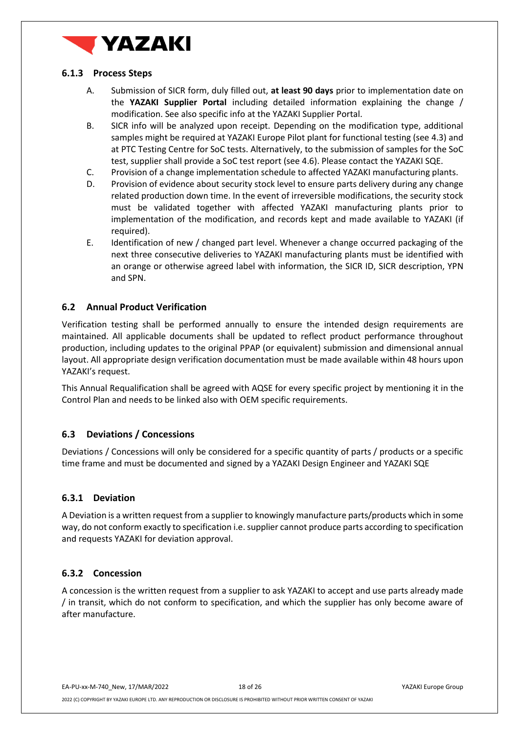

#### <span id="page-17-0"></span>**6.1.3 Process Steps**

- A. Submission of SICR form, duly filled out, **at least 90 days** prior to implementation date on the **YAZAKI Supplier Portal** including detailed information explaining the change / modification. See also specific info at the YAZAKI Supplier Portal.
- B. SICR info will be analyzed upon receipt. Depending on the modification type, additional samples might be required at YAZAKI Europe Pilot plant for functional testing (see [4.3\)](#page-9-2) and at PTC Testing Centre for SoC tests. Alternatively, to the submission of samples for the SoC test, supplier shall provide a SoC test report (se[e 4.6\)](#page-11-1). Please contact the YAZAKI SQE.
- C. Provision of a change implementation schedule to affected YAZAKI manufacturing plants.
- D. Provision of evidence about security stock level to ensure parts delivery during any change related production down time. In the event of irreversible modifications, the security stock must be validated together with affected YAZAKI manufacturing plants prior to implementation of the modification, and records kept and made available to YAZAKI (if required).
- E. Identification of new / changed part level. Whenever a change occurred packaging of the next three consecutive deliveries to YAZAKI manufacturing plants must be identified with an orange or otherwise agreed label with information, the SICR ID, SICR description, YPN and SPN.

#### <span id="page-17-1"></span>**6.2 Annual Product Verification**

Verification testing shall be performed annually to ensure the intended design requirements are maintained. All applicable documents shall be updated to reflect product performance throughout production, including updates to the original PPAP (or equivalent) submission and dimensional annual layout. All appropriate design verification documentation must be made available within 48 hours upon YAZAKI's request.

This Annual Requalification shall be agreed with AQSE for every specific project by mentioning it in the Control Plan and needs to be linked also with OEM specific requirements.

#### <span id="page-17-2"></span>**6.3 Deviations / Concessions**

Deviations / Concessions will only be considered for a specific quantity of parts / products or a specific time frame and must be documented and signed by a YAZAKI Design Engineer and YAZAKI SQE

#### <span id="page-17-3"></span>**6.3.1 Deviation**

A Deviation is a written request from a supplier to knowingly manufacture parts/products which in some way, do not conform exactly to specification i.e. supplier cannot produce parts according to specification and requests YAZAKI for deviation approval.

#### <span id="page-17-4"></span>**6.3.2 Concession**

A concession is the written request from a supplier to ask YAZAKI to accept and use parts already made / in transit, which do not conform to specification, and which the supplier has only become aware of after manufacture.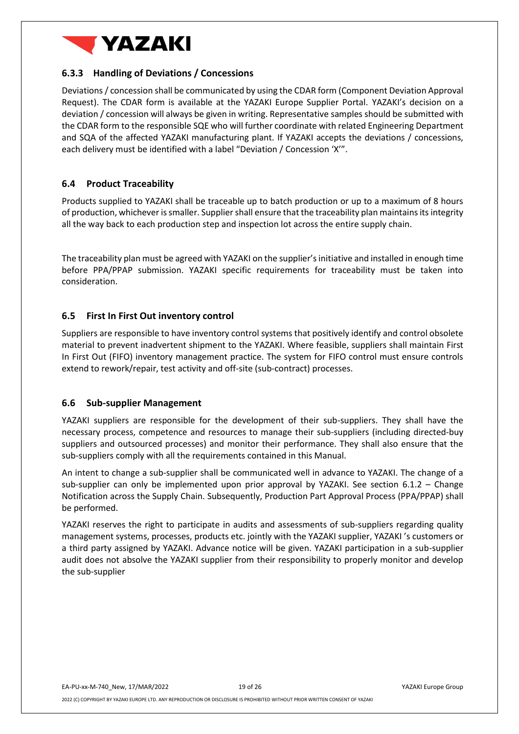

#### <span id="page-18-0"></span>**6.3.3 Handling of Deviations / Concessions**

Deviations/ concession shall be communicated by using the CDAR form (Component Deviation Approval Request). The CDAR form is available at the YAZAKI Europe Supplier Portal. YAZAKI's decision on a deviation / concession will always be given in writing. Representative samples should be submitted with the CDAR form to the responsible SQE who will further coordinate with related Engineering Department and SQA of the affected YAZAKI manufacturing plant. If YAZAKI accepts the deviations / concessions, each delivery must be identified with a label "Deviation / Concession 'X'".

#### <span id="page-18-1"></span>**6.4 Product Traceability**

Products supplied to YAZAKI shall be traceable up to batch production or up to a maximum of 8 hours of production, whichever is smaller. Supplier shall ensure that the traceability plan maintains its integrity all the way back to each production step and inspection lot across the entire supply chain.

The traceability plan must be agreed with YAZAKI on the supplier's initiative and installed in enough time before PPA/PPAP submission. YAZAKI specific requirements for traceability must be taken into consideration.

#### <span id="page-18-2"></span>**6.5 First In First Out inventory control**

Suppliers are responsible to have inventory control systems that positively identify and control obsolete material to prevent inadvertent shipment to the YAZAKI. Where feasible, suppliers shall maintain First In First Out (FIFO) inventory management practice. The system for FIFO control must ensure controls extend to rework/repair, test activity and off-site (sub-contract) processes.

#### <span id="page-18-3"></span>**6.6 Sub-supplier Management**

YAZAKI suppliers are responsible for the development of their sub-suppliers. They shall have the necessary process, competence and resources to manage their sub-suppliers (including directed-buy suppliers and outsourced processes) and monitor their performance. They shall also ensure that the sub-suppliers comply with all the requirements contained in this Manual.

An intent to change a sub-supplier shall be communicated well in advance to YAZAKI. The change of a sub-supplier can only be implemented upon prior approval by YAZAKI. See section 6.1.2 – Change Notification across the Supply Chain. Subsequently, Production Part Approval Process (PPA/PPAP) shall be performed.

YAZAKI reserves the right to participate in audits and assessments of sub-suppliers regarding quality management systems, processes, products etc. jointly with the YAZAKI supplier, YAZAKI 's customers or a third party assigned by YAZAKI. Advance notice will be given. YAZAKI participation in a sub-supplier audit does not absolve the YAZAKI supplier from their responsibility to properly monitor and develop the sub-supplier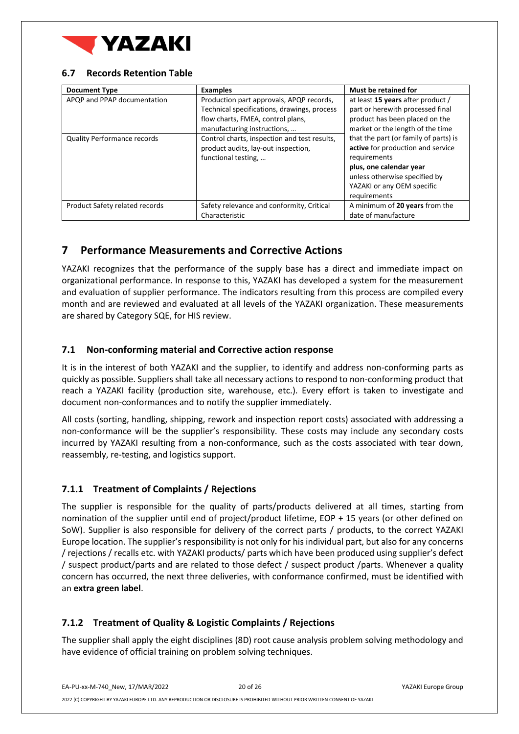

#### <span id="page-19-0"></span>**6.7 Records Retention Table**

| <b>Document Type</b>                                              | <b>Examples</b>                                                                                                                                                                                                                                                           | <b>Must be retained for</b>                                                                                                                                                                                                                                                                                                                         |
|-------------------------------------------------------------------|---------------------------------------------------------------------------------------------------------------------------------------------------------------------------------------------------------------------------------------------------------------------------|-----------------------------------------------------------------------------------------------------------------------------------------------------------------------------------------------------------------------------------------------------------------------------------------------------------------------------------------------------|
| APQP and PPAP documentation<br><b>Quality Performance records</b> | Production part approvals, APQP records,<br>Technical specifications, drawings, process<br>flow charts, FMEA, control plans,<br>manufacturing instructions,<br>Control charts, inspection and test results,<br>product audits, lay-out inspection,<br>functional testing, | at least 15 years after product /<br>part or herewith processed final<br>product has been placed on the<br>market or the length of the time<br>that the part (or family of parts) is<br>active for production and service<br>requirements<br>plus, one calendar year<br>unless otherwise specified by<br>YAZAKI or any OEM specific<br>requirements |
| Product Safety related records                                    | Safety relevance and conformity, Critical<br>Characteristic                                                                                                                                                                                                               | A minimum of 20 years from the<br>date of manufacture                                                                                                                                                                                                                                                                                               |

## <span id="page-19-1"></span>**7 Performance Measurements and Corrective Actions**

YAZAKI recognizes that the performance of the supply base has a direct and immediate impact on organizational performance. In response to this, YAZAKI has developed a system for the measurement and evaluation of supplier performance. The indicators resulting from this process are compiled every month and are reviewed and evaluated at all levels of the YAZAKI organization. These measurements are shared by Category SQE, for HIS review.

#### <span id="page-19-2"></span>**7.1 Non-conforming material and Corrective action response**

It is in the interest of both YAZAKI and the supplier, to identify and address non-conforming parts as quickly as possible. Suppliers shall take all necessary actions to respond to non-conforming product that reach a YAZAKI facility (production site, warehouse, etc.). Every effort is taken to investigate and document non-conformances and to notify the supplier immediately.

All costs (sorting, handling, shipping, rework and inspection report costs) associated with addressing a non-conformance will be the supplier's responsibility. These costs may include any secondary costs incurred by YAZAKI resulting from a non-conformance, such as the costs associated with tear down, reassembly, re-testing, and logistics support.

## <span id="page-19-3"></span>**7.1.1 Treatment of Complaints / Rejections**

The supplier is responsible for the quality of parts/products delivered at all times, starting from nomination of the supplier until end of project/product lifetime, EOP + 15 years (or other defined on SoW). Supplier is also responsible for delivery of the correct parts / products, to the correct YAZAKI Europe location. The supplier's responsibility is not only for his individual part, but also for any concerns / rejections / recalls etc. with YAZAKI products/ parts which have been produced using supplier's defect / suspect product/parts and are related to those defect / suspect product /parts. Whenever a quality concern has occurred, the next three deliveries, with conformance confirmed, must be identified with an **extra green label**.

## <span id="page-19-4"></span>**7.1.2 Treatment of Quality & Logistic Complaints / Rejections**

The supplier shall apply the eight disciplines (8D) root cause analysis problem solving methodology and have evidence of official training on problem solving techniques.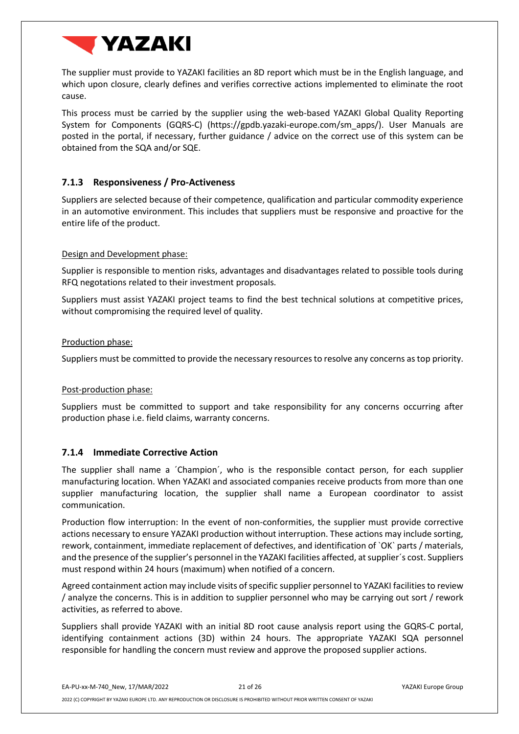

The supplier must provide to YAZAKI facilities an 8D report which must be in the English language, and which upon closure, clearly defines and verifies corrective actions implemented to eliminate the root cause.

This process must be carried by the supplier using the web-based YAZAKI Global Quality Reporting System for Components (GQRS-C) (https://gpdb.yazaki-europe.com/sm\_apps/). User Manuals are posted in the portal, if necessary, further guidance / advice on the correct use of this system can be obtained from the SQA and/or SQE.

#### <span id="page-20-0"></span>**7.1.3 Responsiveness / Pro-Activeness**

Suppliers are selected because of their competence, qualification and particular commodity experience in an automotive environment. This includes that suppliers must be responsive and proactive for the entire life of the product.

#### Design and Development phase:

Supplier is responsible to mention risks, advantages and disadvantages related to possible tools during RFQ negotations related to their investment proposals.

Suppliers must assist YAZAKI project teams to find the best technical solutions at competitive prices, without compromising the required level of quality.

#### Production phase:

Suppliers must be committed to provide the necessary resources to resolve any concerns as top priority.

#### Post-production phase:

Suppliers must be committed to support and take responsibility for any concerns occurring after production phase i.e. field claims, warranty concerns.

#### <span id="page-20-1"></span>**7.1.4 Immediate Corrective Action**

The supplier shall name a ´Champion´, who is the responsible contact person, for each supplier manufacturing location. When YAZAKI and associated companies receive products from more than one supplier manufacturing location, the supplier shall name a European coordinator to assist communication.

Production flow interruption: In the event of non-conformities, the supplier must provide corrective actions necessary to ensure YAZAKI production without interruption. These actions may include sorting, rework, containment, immediate replacement of defectives, and identification of `OK` parts / materials, and the presence of the supplier's personnel in the YAZAKI facilities affected, at supplier´s cost. Suppliers must respond within 24 hours (maximum) when notified of a concern.

Agreed containment action may include visits of specific supplier personnel to YAZAKI facilities to review / analyze the concerns. This is in addition to supplier personnel who may be carrying out sort / rework activities, as referred to above.

Suppliers shall provide YAZAKI with an initial 8D root cause analysis report using the GQRS-C portal, identifying containment actions (3D) within 24 hours. The appropriate YAZAKI SQA personnel responsible for handling the concern must review and approve the proposed supplier actions.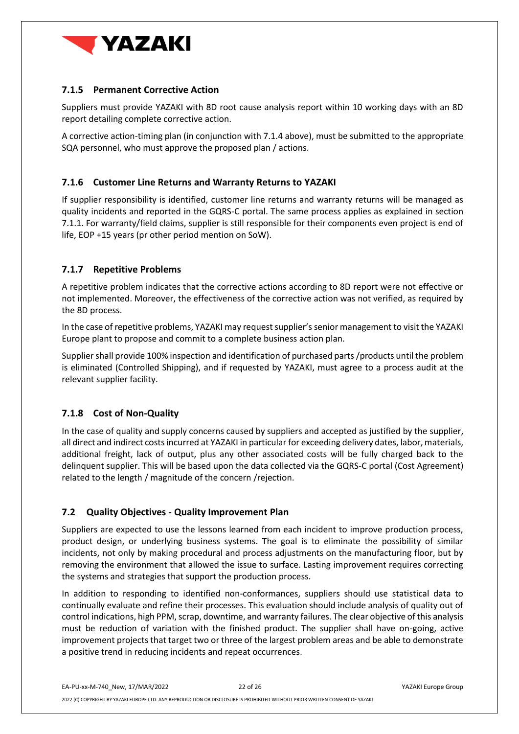

### <span id="page-21-0"></span>**7.1.5 Permanent Corrective Action**

Suppliers must provide YAZAKI with 8D root cause analysis report within 10 working days with an 8D report detailing complete corrective action.

A corrective action-timing plan (in conjunction with 7.1.4 above), must be submitted to the appropriate SQA personnel, who must approve the proposed plan / actions.

#### <span id="page-21-1"></span>**7.1.6 Customer Line Returns and Warranty Returns to YAZAKI**

If supplier responsibility is identified, customer line returns and warranty returns will be managed as quality incidents and reported in the GQRS-C portal. The same process applies as explained in section [7.1.1.](#page-19-3) For warranty/field claims, supplier is still responsible for their components even project is end of life, EOP +15 years (pr other period mention on SoW).

#### <span id="page-21-2"></span>**7.1.7 Repetitive Problems**

A repetitive problem indicates that the corrective actions according to 8D report were not effective or not implemented. Moreover, the effectiveness of the corrective action was not verified, as required by the 8D process.

In the case of repetitive problems, YAZAKI may request supplier's senior management to visit the YAZAKI Europe plant to propose and commit to a complete business action plan.

Supplier shall provide 100% inspection and identification of purchased parts/products until the problem is eliminated (Controlled Shipping), and if requested by YAZAKI, must agree to a process audit at the relevant supplier facility.

#### <span id="page-21-3"></span>**7.1.8 Cost of Non-Quality**

In the case of quality and supply concerns caused by suppliers and accepted as justified by the supplier, all direct and indirect costs incurred at YAZAKI in particular for exceeding delivery dates, labor, materials, additional freight, lack of output, plus any other associated costs will be fully charged back to the delinquent supplier. This will be based upon the data collected via the GQRS-C portal (Cost Agreement) related to the length / magnitude of the concern /rejection.

#### <span id="page-21-4"></span>**7.2 Quality Objectives - Quality Improvement Plan**

Suppliers are expected to use the lessons learned from each incident to improve production process, product design, or underlying business systems. The goal is to eliminate the possibility of similar incidents, not only by making procedural and process adjustments on the manufacturing floor, but by removing the environment that allowed the issue to surface. Lasting improvement requires correcting the systems and strategies that support the production process.

In addition to responding to identified non-conformances, suppliers should use statistical data to continually evaluate and refine their processes. This evaluation should include analysis of quality out of control indications, high PPM, scrap, downtime, and warranty failures. The clear objective of this analysis must be reduction of variation with the finished product. The supplier shall have on-going, active improvement projects that target two or three of the largest problem areas and be able to demonstrate a positive trend in reducing incidents and repeat occurrences.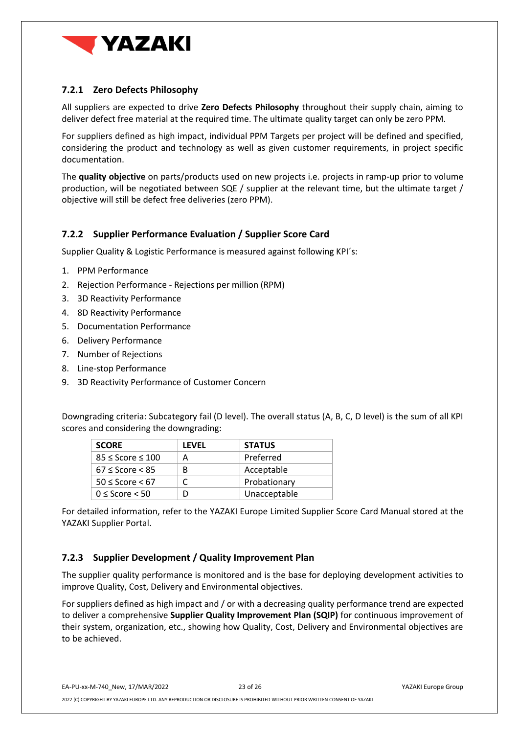

### <span id="page-22-0"></span>**7.2.1 Zero Defects Philosophy**

All suppliers are expected to drive **Zero Defects Philosophy** throughout their supply chain, aiming to deliver defect free material at the required time. The ultimate quality target can only be zero PPM.

For suppliers defined as high impact, individual PPM Targets per project will be defined and specified, considering the product and technology as well as given customer requirements, in project specific documentation.

The **quality objective** on parts/products used on new projects i.e. projects in ramp-up prior to volume production, will be negotiated between SQE / supplier at the relevant time, but the ultimate target / objective will still be defect free deliveries (zero PPM).

#### <span id="page-22-1"></span>**7.2.2 Supplier Performance Evaluation / Supplier Score Card**

Supplier Quality & Logistic Performance is measured against following KPI´s:

- 1. PPM Performance
- 2. Rejection Performance Rejections per million (RPM)
- 3. 3D Reactivity Performance
- 4. 8D Reactivity Performance
- 5. Documentation Performance
- 6. Delivery Performance
- 7. Number of Rejections
- 8. Line-stop Performance
- 9. 3D Reactivity Performance of Customer Concern

Downgrading criteria: Subcategory fail (D level). The overall status (A, B, C, D level) is the sum of all KPI scores and considering the downgrading:

| <b>SCORE</b>               | LFVFL | <b>STATUS</b> |
|----------------------------|-------|---------------|
| $85 \leq$ Score $\leq 100$ |       | Preferred     |
| $67 \leq$ Score $<$ 85     | в     | Acceptable    |
| $50 \leq$ Score $< 67$     |       | Probationary  |
| $0 \leq$ Score $\leq 50$   |       | Unacceptable  |

For detailed information, refer to the YAZAKI Europe Limited Supplier Score Card Manual stored at the YAZAKI Supplier Portal.

#### <span id="page-22-2"></span>**7.2.3 Supplier Development / Quality Improvement Plan**

The supplier quality performance is monitored and is the base for deploying development activities to improve Quality, Cost, Delivery and Environmental objectives.

For suppliers defined as high impact and / or with a decreasing quality performance trend are expected to deliver a comprehensive **Supplier Quality Improvement Plan (SQIP)** for continuous improvement of their system, organization, etc., showing how Quality, Cost, Delivery and Environmental objectives are to be achieved.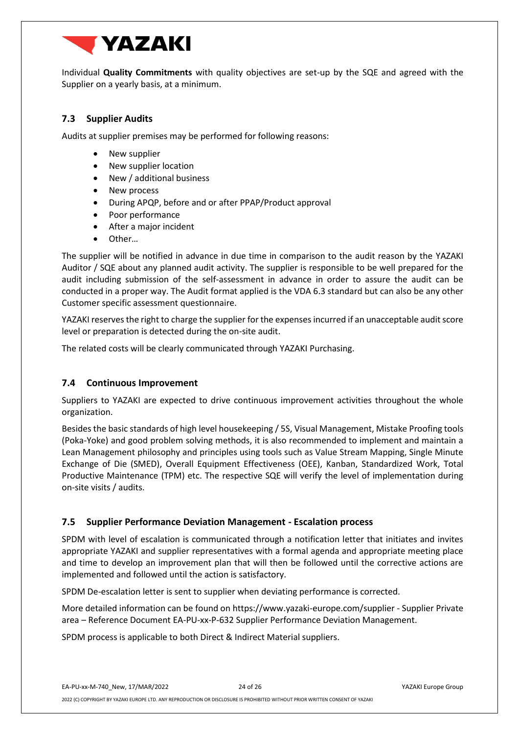

Individual **Quality Commitments** with quality objectives are set-up by the SQE and agreed with the Supplier on a yearly basis, at a minimum.

#### <span id="page-23-0"></span>**7.3 Supplier Audits**

Audits at supplier premises may be performed for following reasons:

- New supplier
- New supplier location
- New / additional business
- New process
- During APQP, before and or after PPAP/Product approval
- Poor performance
- After a major incident
- Other…

The supplier will be notified in advance in due time in comparison to the audit reason by the YAZAKI Auditor / SQE about any planned audit activity. The supplier is responsible to be well prepared for the audit including submission of the self-assessment in advance in order to assure the audit can be conducted in a proper way. The Audit format applied is the VDA 6.3 standard but can also be any other Customer specific assessment questionnaire.

YAZAKI reserves the right to charge the supplier for the expenses incurred if an unacceptable audit score level or preparation is detected during the on-site audit.

The related costs will be clearly communicated through YAZAKI Purchasing.

#### <span id="page-23-1"></span>**7.4 Continuous Improvement**

Suppliers to YAZAKI are expected to drive continuous improvement activities throughout the whole organization.

Besides the basic standards of high level housekeeping / 5S, Visual Management, Mistake Proofing tools (Poka-Yoke) and good problem solving methods, it is also recommended to implement and maintain a Lean Management philosophy and principles using tools such as Value Stream Mapping, Single Minute Exchange of Die (SMED), Overall Equipment Effectiveness (OEE), Kanban, Standardized Work, Total Productive Maintenance (TPM) etc. The respective SQE will verify the level of implementation during on-site visits / audits.

#### <span id="page-23-2"></span>**7.5 Supplier Performance Deviation Management - Escalation process**

SPDM with level of escalation is communicated through a notification letter that initiates and invites appropriate YAZAKI and supplier representatives with a formal agenda and appropriate meeting place and time to develop an improvement plan that will then be followed until the corrective actions are implemented and followed until the action is satisfactory.

SPDM De-escalation letter is sent to supplier when deviating performance is corrected.

More detailed information can be found o[n https://www.yazaki-europe.com/supplier](https://www.yazaki-europe.com/supplier) - Supplier Private area – Reference Document EA-PU-xx-P-632 Supplier Performance Deviation Management.

SPDM process is applicable to both Direct & Indirect Material suppliers.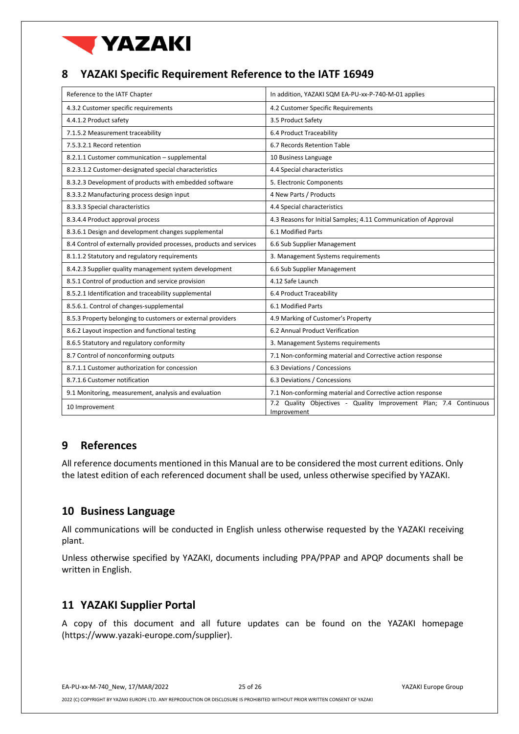

## <span id="page-24-0"></span>**8 YAZAKI Specific Requirement Reference to the IATF 16949**

| Reference to the IATF Chapter                                       | In addition, YAZAKI SQM EA-PU-xx-P-740-M-01 applies                              |
|---------------------------------------------------------------------|----------------------------------------------------------------------------------|
| 4.3.2 Customer specific requirements                                | 4.2 Customer Specific Requirements                                               |
| 4.4.1.2 Product safety                                              | 3.5 Product Safety                                                               |
| 7.1.5.2 Measurement traceability                                    | 6.4 Product Traceability                                                         |
| 7.5.3.2.1 Record retention                                          | 6.7 Records Retention Table                                                      |
| 8.2.1.1 Customer communication - supplemental                       | 10 Business Language                                                             |
| 8.2.3.1.2 Customer-designated special characteristics               | 4.4 Special characteristics                                                      |
| 8.3.2.3 Development of products with embedded software              | 5. Electronic Components                                                         |
| 8.3.3.2 Manufacturing process design input                          | 4 New Parts / Products                                                           |
| 8.3.3.3 Special characteristics                                     | 4.4 Special characteristics                                                      |
| 8.3.4.4 Product approval process                                    | 4.3 Reasons for Initial Samples; 4.11 Communication of Approval                  |
| 8.3.6.1 Design and development changes supplemental                 | 6.1 Modified Parts                                                               |
| 8.4 Control of externally provided processes, products and services | 6.6 Sub Supplier Management                                                      |
| 8.1.1.2 Statutory and regulatory requirements                       | 3. Management Systems requirements                                               |
| 8.4.2.3 Supplier quality management system development              | 6.6 Sub Supplier Management                                                      |
| 8.5.1 Control of production and service provision                   | 4.12 Safe Launch                                                                 |
| 8.5.2.1 Identification and traceability supplemental                | 6.4 Product Traceability                                                         |
| 8.5.6.1. Control of changes-supplemental                            | 6.1 Modified Parts                                                               |
| 8.5.3 Property belonging to customers or external providers         | 4.9 Marking of Customer's Property                                               |
| 8.6.2 Layout inspection and functional testing                      | 6.2 Annual Product Verification                                                  |
| 8.6.5 Statutory and regulatory conformity                           | 3. Management Systems requirements                                               |
| 8.7 Control of nonconforming outputs                                | 7.1 Non-conforming material and Corrective action response                       |
| 8.7.1.1 Customer authorization for concession                       | 6.3 Deviations / Concessions                                                     |
| 8.7.1.6 Customer notification                                       | 6.3 Deviations / Concessions                                                     |
| 9.1 Monitoring, measurement, analysis and evaluation                | 7.1 Non-conforming material and Corrective action response                       |
| 10 Improvement                                                      | 7.2 Quality Objectives - Quality Improvement Plan; 7.4 Continuous<br>Improvement |

## <span id="page-24-1"></span>**9 References**

All reference documents mentioned in this Manual are to be considered the most current editions. Only the latest edition of each referenced document shall be used, unless otherwise specified by YAZAKI.

## <span id="page-24-2"></span>**10 Business Language**

All communications will be conducted in English unless otherwise requested by the YAZAKI receiving plant.

Unless otherwise specified by YAZAKI, documents including PPA/PPAP and APQP documents shall be written in English.

## <span id="page-24-3"></span>**11 YAZAKI Supplier Portal**

A copy of this document and all future updates can be found on the YAZAKI homepage (https://www.yazaki-europe.com/supplier).